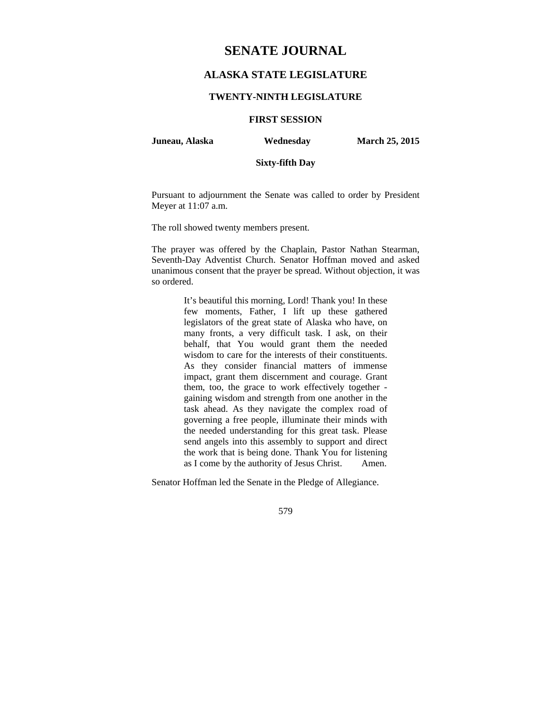# **SENATE JOURNAL**

## **ALASKA STATE LEGISLATURE**

### **TWENTY-NINTH LEGISLATURE**

### **FIRST SESSION**

**Juneau, Alaska Wednesday March 25, 2015** 

## **Sixty-fifth Day**

Pursuant to adjournment the Senate was called to order by President Meyer at 11:07 a.m.

The roll showed twenty members present.

The prayer was offered by the Chaplain, Pastor Nathan Stearman, Seventh-Day Adventist Church. Senator Hoffman moved and asked unanimous consent that the prayer be spread. Without objection, it was so ordered.

> It's beautiful this morning, Lord! Thank you! In these few moments, Father, I lift up these gathered legislators of the great state of Alaska who have, on many fronts, a very difficult task. I ask, on their behalf, that You would grant them the needed wisdom to care for the interests of their constituents. As they consider financial matters of immense impact, grant them discernment and courage. Grant them, too, the grace to work effectively together gaining wisdom and strength from one another in the task ahead. As they navigate the complex road of governing a free people, illuminate their minds with the needed understanding for this great task. Please send angels into this assembly to support and direct the work that is being done. Thank You for listening as I come by the authority of Jesus Christ. Amen.

Senator Hoffman led the Senate in the Pledge of Allegiance.

579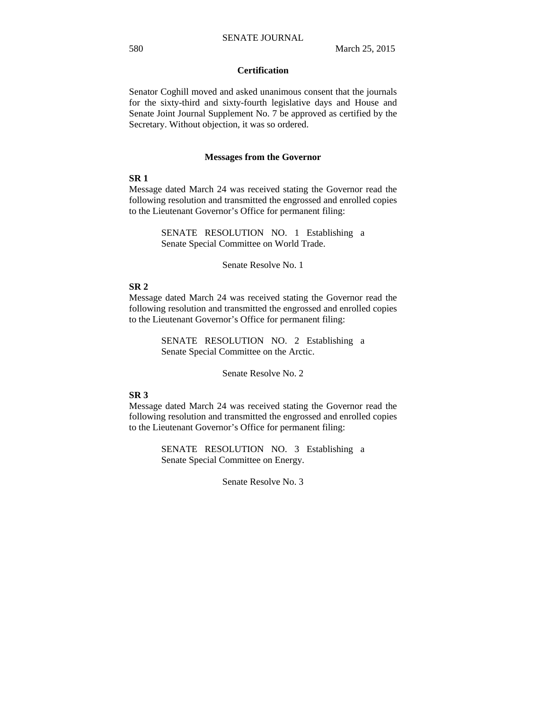## **Certification**

Senator Coghill moved and asked unanimous consent that the journals for the sixty-third and sixty-fourth legislative days and House and Senate Joint Journal Supplement No. 7 be approved as certified by the Secretary. Without objection, it was so ordered.

#### **Messages from the Governor**

## **SR 1**

Message dated March 24 was received stating the Governor read the following resolution and transmitted the engrossed and enrolled copies to the Lieutenant Governor's Office for permanent filing:

> SENATE RESOLUTION NO. 1 Establishing a Senate Special Committee on World Trade.

> > Senate Resolve No. 1

### **SR 2**

Message dated March 24 was received stating the Governor read the following resolution and transmitted the engrossed and enrolled copies to the Lieutenant Governor's Office for permanent filing:

> SENATE RESOLUTION NO. 2 Establishing a Senate Special Committee on the Arctic.

> > Senate Resolve No. 2

### **SR 3**

Message dated March 24 was received stating the Governor read the following resolution and transmitted the engrossed and enrolled copies to the Lieutenant Governor's Office for permanent filing:

> SENATE RESOLUTION NO. 3 Establishing a Senate Special Committee on Energy.

> > Senate Resolve No. 3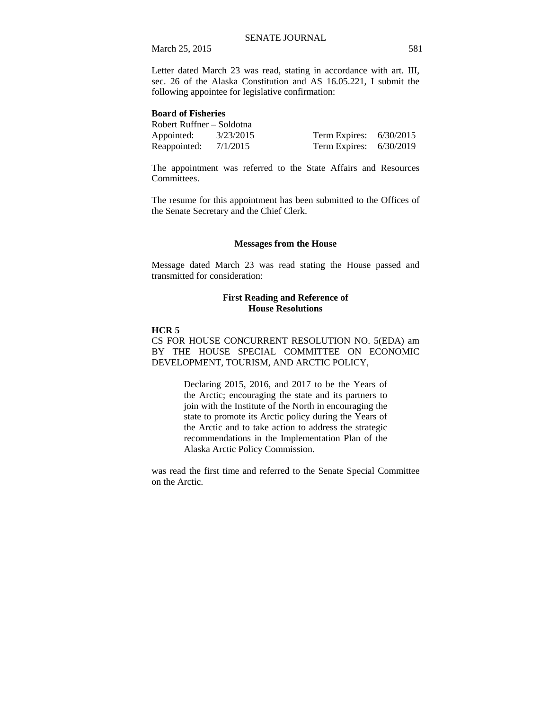Letter dated March 23 was read, stating in accordance with art. III, sec. 26 of the Alaska Constitution and AS 16.05.221, I submit the following appointee for legislative confirmation:

#### **Board of Fisheries**

| Robert Ruffner – Soldotna |           |                           |  |
|---------------------------|-----------|---------------------------|--|
| Appointed:                | 3/23/2015 | Term Expires: $6/30/2015$ |  |
| Reappointed:              | 7/1/2015  | Term Expires: $6/30/2019$ |  |

The appointment was referred to the State Affairs and Resources Committees.

The resume for this appointment has been submitted to the Offices of the Senate Secretary and the Chief Clerk.

#### **Messages from the House**

Message dated March 23 was read stating the House passed and transmitted for consideration:

## **First Reading and Reference of House Resolutions**

#### **HCR 5**

CS FOR HOUSE CONCURRENT RESOLUTION NO. 5(EDA) am BY THE HOUSE SPECIAL COMMITTEE ON ECONOMIC DEVELOPMENT, TOURISM, AND ARCTIC POLICY,

> Declaring 2015, 2016, and 2017 to be the Years of the Arctic; encouraging the state and its partners to join with the Institute of the North in encouraging the state to promote its Arctic policy during the Years of the Arctic and to take action to address the strategic recommendations in the Implementation Plan of the Alaska Arctic Policy Commission.

was read the first time and referred to the Senate Special Committee on the Arctic.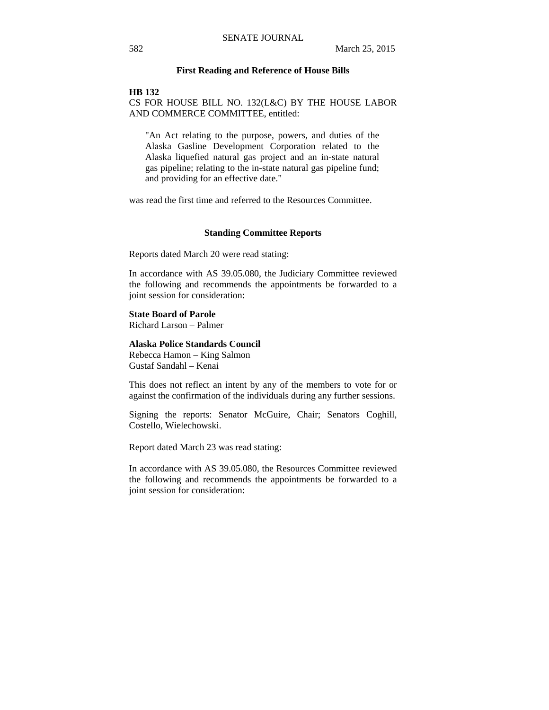#### **First Reading and Reference of House Bills**

#### **HB 132**

CS FOR HOUSE BILL NO. 132(L&C) BY THE HOUSE LABOR AND COMMERCE COMMITTEE, entitled:

"An Act relating to the purpose, powers, and duties of the Alaska Gasline Development Corporation related to the Alaska liquefied natural gas project and an in-state natural gas pipeline; relating to the in-state natural gas pipeline fund; and providing for an effective date."

was read the first time and referred to the Resources Committee.

#### **Standing Committee Reports**

Reports dated March 20 were read stating:

In accordance with AS 39.05.080, the Judiciary Committee reviewed the following and recommends the appointments be forwarded to a joint session for consideration:

#### **State Board of Parole**

Richard Larson – Palmer

### **Alaska Police Standards Council**

Rebecca Hamon – King Salmon Gustaf Sandahl – Kenai

This does not reflect an intent by any of the members to vote for or against the confirmation of the individuals during any further sessions.

Signing the reports: Senator McGuire, Chair; Senators Coghill, Costello, Wielechowski.

Report dated March 23 was read stating:

In accordance with AS 39.05.080, the Resources Committee reviewed the following and recommends the appointments be forwarded to a joint session for consideration: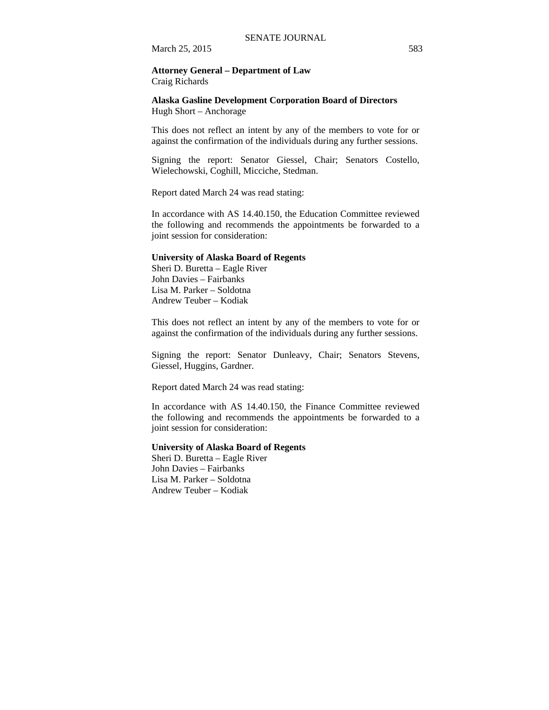#### **Attorney General – Department of Law**  Craig Richards

#### **Alaska Gasline Development Corporation Board of Directors**  Hugh Short – Anchorage

This does not reflect an intent by any of the members to vote for or against the confirmation of the individuals during any further sessions.

Signing the report: Senator Giessel, Chair; Senators Costello, Wielechowski, Coghill, Micciche, Stedman.

Report dated March 24 was read stating:

In accordance with AS 14.40.150, the Education Committee reviewed the following and recommends the appointments be forwarded to a joint session for consideration:

#### **University of Alaska Board of Regents**

Sheri D. Buretta – Eagle River John Davies – Fairbanks Lisa M. Parker – Soldotna Andrew Teuber – Kodiak

This does not reflect an intent by any of the members to vote for or against the confirmation of the individuals during any further sessions.

Signing the report: Senator Dunleavy, Chair; Senators Stevens, Giessel, Huggins, Gardner.

Report dated March 24 was read stating:

In accordance with AS 14.40.150, the Finance Committee reviewed the following and recommends the appointments be forwarded to a joint session for consideration:

#### **University of Alaska Board of Regents**

Sheri D. Buretta – Eagle River John Davies – Fairbanks Lisa M. Parker – Soldotna Andrew Teuber – Kodiak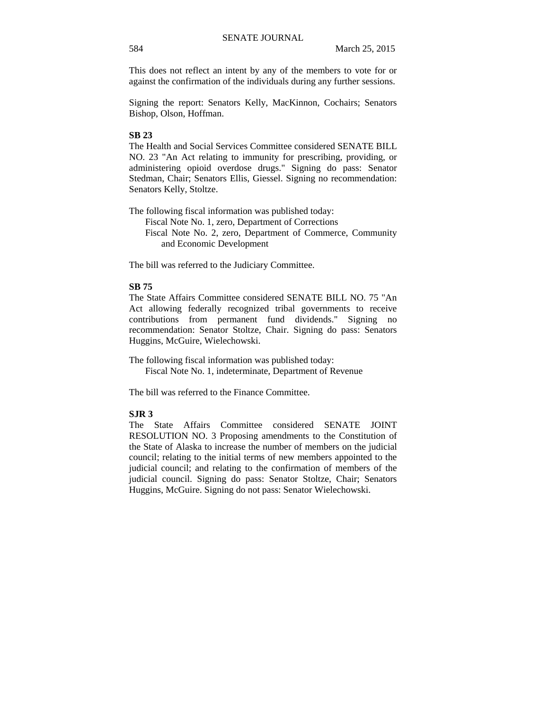This does not reflect an intent by any of the members to vote for or against the confirmation of the individuals during any further sessions.

Signing the report: Senators Kelly, MacKinnon, Cochairs; Senators Bishop, Olson, Hoffman.

### **SB 23**

The Health and Social Services Committee considered SENATE BILL NO. 23 "An Act relating to immunity for prescribing, providing, or administering opioid overdose drugs." Signing do pass: Senator Stedman, Chair; Senators Ellis, Giessel. Signing no recommendation: Senators Kelly, Stoltze.

The following fiscal information was published today: Fiscal Note No. 1, zero, Department of Corrections Fiscal Note No. 2, zero, Department of Commerce, Community and Economic Development

The bill was referred to the Judiciary Committee.

### **SB 75**

The State Affairs Committee considered SENATE BILL NO. 75 "An Act allowing federally recognized tribal governments to receive contributions from permanent fund dividends." Signing no recommendation: Senator Stoltze, Chair. Signing do pass: Senators Huggins, McGuire, Wielechowski.

The following fiscal information was published today: Fiscal Note No. 1, indeterminate, Department of Revenue

The bill was referred to the Finance Committee.

#### **SJR 3**

The State Affairs Committee considered SENATE JOINT RESOLUTION NO. 3 Proposing amendments to the Constitution of the State of Alaska to increase the number of members on the judicial council; relating to the initial terms of new members appointed to the judicial council; and relating to the confirmation of members of the judicial council. Signing do pass: Senator Stoltze, Chair; Senators Huggins, McGuire. Signing do not pass: Senator Wielechowski.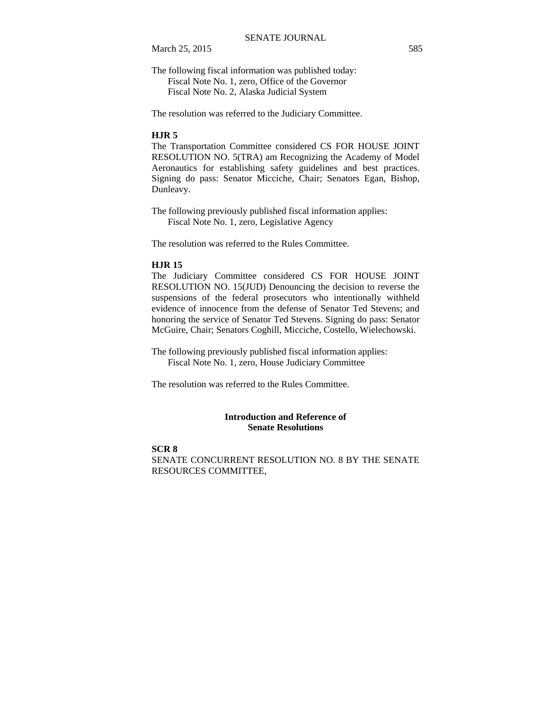The following fiscal information was published today: Fiscal Note No. 1, zero, Office of the Governor

Fiscal Note No. 2, Alaska Judicial System

The resolution was referred to the Judiciary Committee.

#### **HJR 5**

The Transportation Committee considered CS FOR HOUSE JOINT RESOLUTION NO. 5(TRA) am Recognizing the Academy of Model Aeronautics for establishing safety guidelines and best practices. Signing do pass: Senator Micciche, Chair; Senators Egan, Bishop, Dunleavy.

The following previously published fiscal information applies: Fiscal Note No. 1, zero, Legislative Agency

The resolution was referred to the Rules Committee.

#### **HJR 15**

The Judiciary Committee considered CS FOR HOUSE JOINT RESOLUTION NO. 15(JUD) Denouncing the decision to reverse the suspensions of the federal prosecutors who intentionally withheld evidence of innocence from the defense of Senator Ted Stevens; and honoring the service of Senator Ted Stevens. Signing do pass: Senator McGuire, Chair; Senators Coghill, Micciche, Costello, Wielechowski.

The following previously published fiscal information applies: Fiscal Note No. 1, zero, House Judiciary Committee

The resolution was referred to the Rules Committee.

### **Introduction and Reference of Senate Resolutions**

#### **SCR 8**

SENATE CONCURRENT RESOLUTION NO. 8 BY THE SENATE RESOURCES COMMITTEE,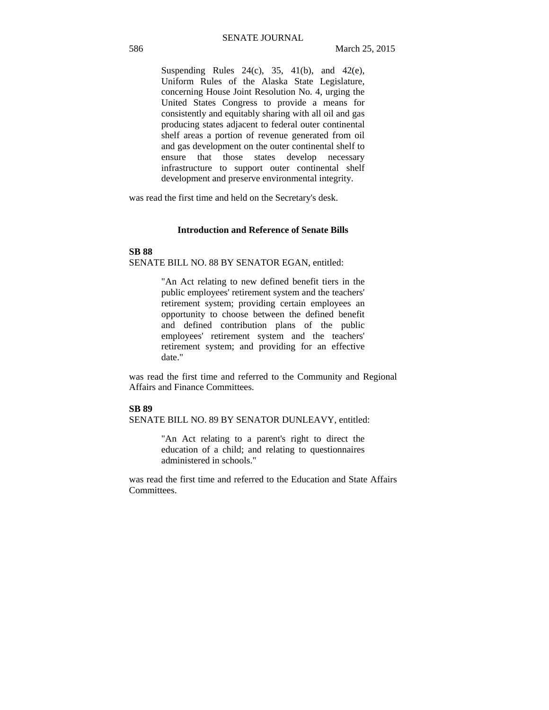Suspending Rules  $24(c)$ ,  $35$ ,  $41(b)$ , and  $42(e)$ , Uniform Rules of the Alaska State Legislature, concerning House Joint Resolution No. 4, urging the United States Congress to provide a means for consistently and equitably sharing with all oil and gas producing states adjacent to federal outer continental shelf areas a portion of revenue generated from oil and gas development on the outer continental shelf to ensure that those states develop necessary infrastructure to support outer continental shelf development and preserve environmental integrity.

was read the first time and held on the Secretary's desk.

#### **Introduction and Reference of Senate Bills**

### **SB 88** SENATE BILL NO. 88 BY SENATOR EGAN, entitled:

"An Act relating to new defined benefit tiers in the public employees' retirement system and the teachers' retirement system; providing certain employees an opportunity to choose between the defined benefit and defined contribution plans of the public employees' retirement system and the teachers' retirement system; and providing for an effective date."

was read the first time and referred to the Community and Regional Affairs and Finance Committees.

#### **SB 89**

SENATE BILL NO. 89 BY SENATOR DUNLEAVY, entitled:

"An Act relating to a parent's right to direct the education of a child; and relating to questionnaires administered in schools."

was read the first time and referred to the Education and State Affairs Committees.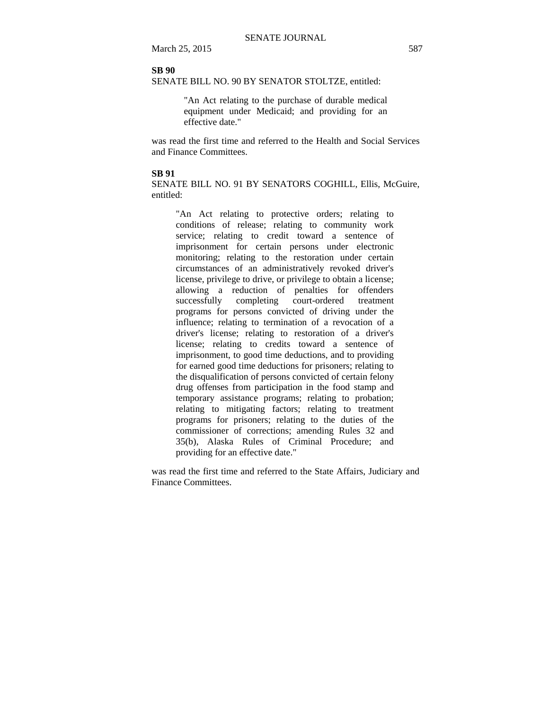### **SB 90**

SENATE BILL NO. 90 BY SENATOR STOLTZE, entitled:

"An Act relating to the purchase of durable medical equipment under Medicaid; and providing for an effective date."

was read the first time and referred to the Health and Social Services and Finance Committees.

#### **SB 91**

SENATE BILL NO. 91 BY SENATORS COGHILL, Ellis, McGuire, entitled:

"An Act relating to protective orders; relating to conditions of release; relating to community work service; relating to credit toward a sentence of imprisonment for certain persons under electronic monitoring; relating to the restoration under certain circumstances of an administratively revoked driver's license, privilege to drive, or privilege to obtain a license; allowing a reduction of penalties for offenders successfully completing court-ordered treatment programs for persons convicted of driving under the influence; relating to termination of a revocation of a driver's license; relating to restoration of a driver's license; relating to credits toward a sentence of imprisonment, to good time deductions, and to providing for earned good time deductions for prisoners; relating to the disqualification of persons convicted of certain felony drug offenses from participation in the food stamp and temporary assistance programs; relating to probation; relating to mitigating factors; relating to treatment programs for prisoners; relating to the duties of the commissioner of corrections; amending Rules 32 and 35(b), Alaska Rules of Criminal Procedure; and providing for an effective date."

was read the first time and referred to the State Affairs, Judiciary and Finance Committees.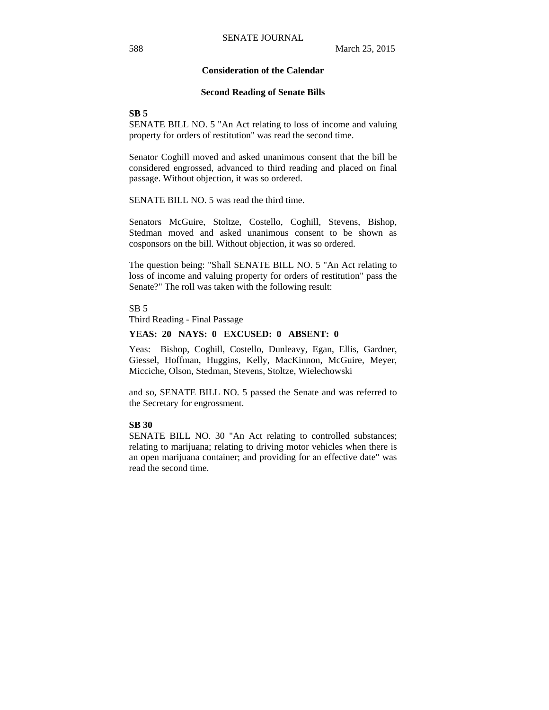### **Consideration of the Calendar**

#### **Second Reading of Senate Bills**

**SB 5**

SENATE BILL NO. 5 "An Act relating to loss of income and valuing property for orders of restitution" was read the second time.

Senator Coghill moved and asked unanimous consent that the bill be considered engrossed, advanced to third reading and placed on final passage. Without objection, it was so ordered.

SENATE BILL NO. 5 was read the third time.

Senators McGuire, Stoltze, Costello, Coghill, Stevens, Bishop, Stedman moved and asked unanimous consent to be shown as cosponsors on the bill. Without objection, it was so ordered.

The question being: "Shall SENATE BILL NO. 5 "An Act relating to loss of income and valuing property for orders of restitution" pass the Senate?" The roll was taken with the following result:

 $SB<sub>5</sub>$ 

Third Reading - Final Passage

#### **YEAS: 20 NAYS: 0 EXCUSED: 0 ABSENT: 0**

Yeas: Bishop, Coghill, Costello, Dunleavy, Egan, Ellis, Gardner, Giessel, Hoffman, Huggins, Kelly, MacKinnon, McGuire, Meyer, Micciche, Olson, Stedman, Stevens, Stoltze, Wielechowski

and so, SENATE BILL NO. 5 passed the Senate and was referred to the Secretary for engrossment.

### **SB 30**

SENATE BILL NO. 30 "An Act relating to controlled substances; relating to marijuana; relating to driving motor vehicles when there is an open marijuana container; and providing for an effective date" was read the second time.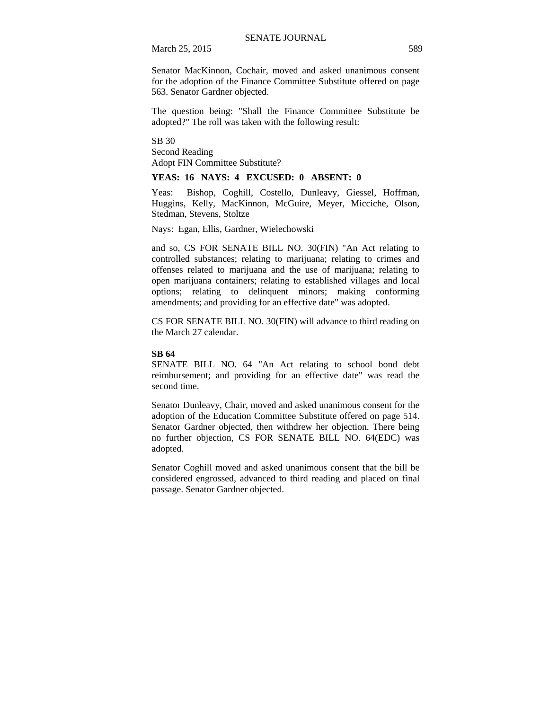Senator MacKinnon, Cochair, moved and asked unanimous consent for the adoption of the Finance Committee Substitute offered on page 563. Senator Gardner objected.

The question being: "Shall the Finance Committee Substitute be adopted?" The roll was taken with the following result:

SB 30 Second Reading Adopt FIN Committee Substitute?

#### **YEAS: 16 NAYS: 4 EXCUSED: 0 ABSENT: 0**

Yeas: Bishop, Coghill, Costello, Dunleavy, Giessel, Hoffman, Huggins, Kelly, MacKinnon, McGuire, Meyer, Micciche, Olson, Stedman, Stevens, Stoltze

Nays: Egan, Ellis, Gardner, Wielechowski

and so, CS FOR SENATE BILL NO. 30(FIN) "An Act relating to controlled substances; relating to marijuana; relating to crimes and offenses related to marijuana and the use of marijuana; relating to open marijuana containers; relating to established villages and local options; relating to delinquent minors; making conforming amendments; and providing for an effective date" was adopted.

CS FOR SENATE BILL NO. 30(FIN) will advance to third reading on the March 27 calendar.

#### **SB 64**

SENATE BILL NO. 64 "An Act relating to school bond debt reimbursement; and providing for an effective date" was read the second time.

Senator Dunleavy, Chair, moved and asked unanimous consent for the adoption of the Education Committee Substitute offered on page 514. Senator Gardner objected, then withdrew her objection. There being no further objection, CS FOR SENATE BILL NO. 64(EDC) was adopted.

Senator Coghill moved and asked unanimous consent that the bill be considered engrossed, advanced to third reading and placed on final passage. Senator Gardner objected.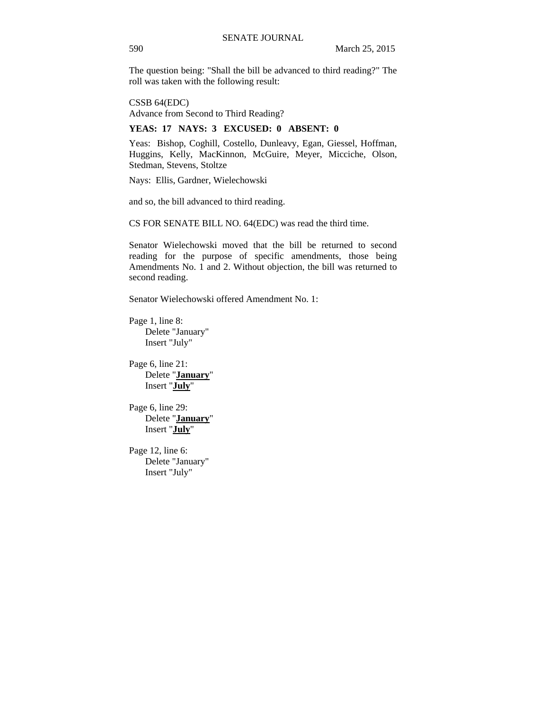The question being: "Shall the bill be advanced to third reading?" The roll was taken with the following result:

CSSB 64(EDC) Advance from Second to Third Reading?

### **YEAS: 17 NAYS: 3 EXCUSED: 0 ABSENT: 0**

Yeas: Bishop, Coghill, Costello, Dunleavy, Egan, Giessel, Hoffman, Huggins, Kelly, MacKinnon, McGuire, Meyer, Micciche, Olson, Stedman, Stevens, Stoltze

Nays: Ellis, Gardner, Wielechowski

and so, the bill advanced to third reading.

CS FOR SENATE BILL NO. 64(EDC) was read the third time.

Senator Wielechowski moved that the bill be returned to second reading for the purpose of specific amendments, those being Amendments No. 1 and 2. Without objection, the bill was returned to second reading.

Senator Wielechowski offered Amendment No. 1:

Page 1, line 8: Delete "January" Insert "July"

Page 6, line 21: Delete "**January**" Insert "**July**"

Page 6, line 29: Delete "**January**" Insert "**July**"

Page 12, line 6: Delete "January" Insert "July"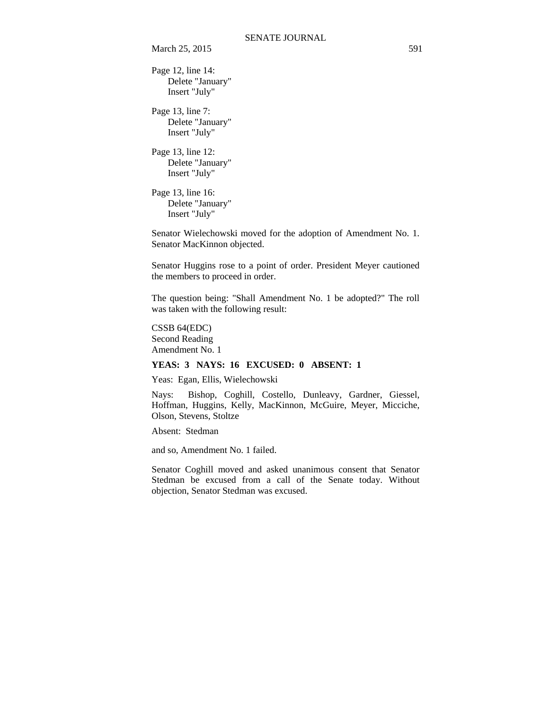Page 12, line 14: Delete "January" Insert "July"

Page 13, line 7: Delete "January" Insert "July"

Page 13, line 12: Delete "January" Insert "July"

Page 13, line 16: Delete "January" Insert "July"

Senator Wielechowski moved for the adoption of Amendment No. 1. Senator MacKinnon objected.

Senator Huggins rose to a point of order. President Meyer cautioned the members to proceed in order.

The question being: "Shall Amendment No. 1 be adopted?" The roll was taken with the following result:

CSSB 64(EDC) Second Reading Amendment No. 1

### **YEAS: 3 NAYS: 16 EXCUSED: 0 ABSENT: 1**

Yeas: Egan, Ellis, Wielechowski

Nays: Bishop, Coghill, Costello, Dunleavy, Gardner, Giessel, Hoffman, Huggins, Kelly, MacKinnon, McGuire, Meyer, Micciche, Olson, Stevens, Stoltze

Absent: Stedman

and so, Amendment No. 1 failed.

Senator Coghill moved and asked unanimous consent that Senator Stedman be excused from a call of the Senate today. Without objection, Senator Stedman was excused.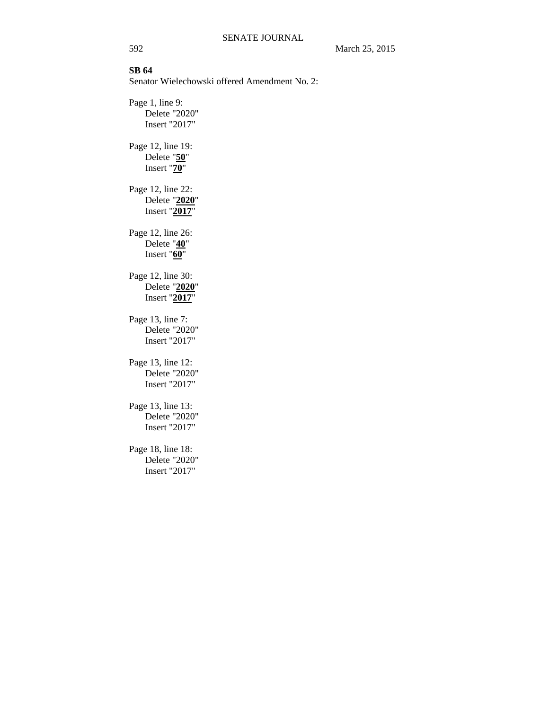## **SB 64**

Senator Wielechowski offered Amendment No. 2:

Page 1, line 9: Delete "2020" Insert "2017" Page 12, line 19: Delete "**50**" Insert "**70**" Page 12, line 22: Delete "**2020**" Insert "**2017**" Page 12, line 26: Delete "**40**" Insert "**60**" Page 12, line 30: Delete "**2020**" Insert "**2017**" Page 13, line 7: Delete "2020" Insert "2017" Page 13, line 12: Delete "2020" Insert "2017" Page 13, line 13: Delete "2020" Insert "2017" Page 18, line 18:

Delete "2020" Insert "2017"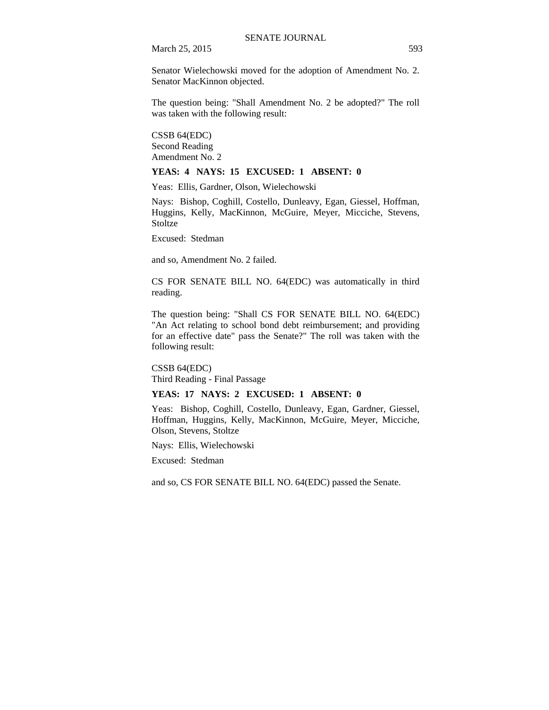Senator Wielechowski moved for the adoption of Amendment No. 2. Senator MacKinnon objected.

The question being: "Shall Amendment No. 2 be adopted?" The roll was taken with the following result:

CSSB 64(EDC) Second Reading Amendment No. 2

#### **YEAS: 4 NAYS: 15 EXCUSED: 1 ABSENT: 0**

Yeas: Ellis, Gardner, Olson, Wielechowski

Nays: Bishop, Coghill, Costello, Dunleavy, Egan, Giessel, Hoffman, Huggins, Kelly, MacKinnon, McGuire, Meyer, Micciche, Stevens, **Stoltze** 

Excused: Stedman

and so, Amendment No. 2 failed.

CS FOR SENATE BILL NO. 64(EDC) was automatically in third reading.

The question being: "Shall CS FOR SENATE BILL NO. 64(EDC) "An Act relating to school bond debt reimbursement; and providing for an effective date" pass the Senate?" The roll was taken with the following result:

CSSB 64(EDC) Third Reading - Final Passage

### **YEAS: 17 NAYS: 2 EXCUSED: 1 ABSENT: 0**

Yeas: Bishop, Coghill, Costello, Dunleavy, Egan, Gardner, Giessel, Hoffman, Huggins, Kelly, MacKinnon, McGuire, Meyer, Micciche, Olson, Stevens, Stoltze

Nays: Ellis, Wielechowski

Excused: Stedman

and so, CS FOR SENATE BILL NO. 64(EDC) passed the Senate.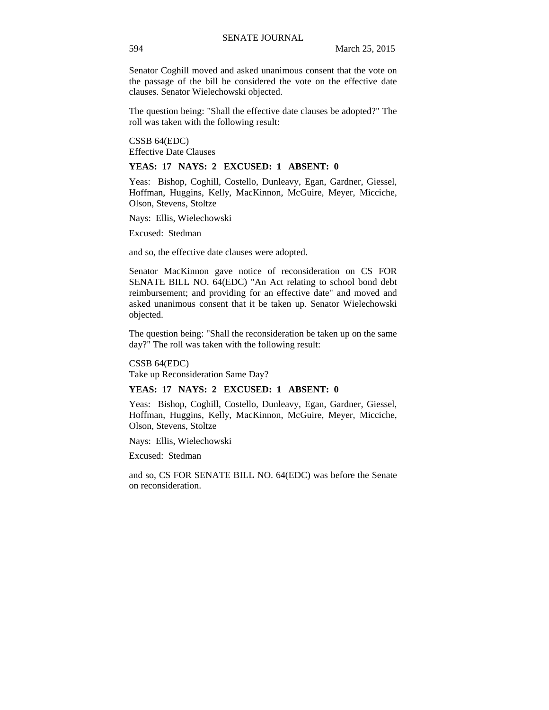Senator Coghill moved and asked unanimous consent that the vote on the passage of the bill be considered the vote on the effective date clauses. Senator Wielechowski objected.

The question being: "Shall the effective date clauses be adopted?" The roll was taken with the following result:

CSSB 64(EDC) Effective Date Clauses

#### **YEAS: 17 NAYS: 2 EXCUSED: 1 ABSENT: 0**

Yeas: Bishop, Coghill, Costello, Dunleavy, Egan, Gardner, Giessel, Hoffman, Huggins, Kelly, MacKinnon, McGuire, Meyer, Micciche, Olson, Stevens, Stoltze

Nays: Ellis, Wielechowski

Excused: Stedman

and so, the effective date clauses were adopted.

Senator MacKinnon gave notice of reconsideration on CS FOR SENATE BILL NO. 64(EDC) "An Act relating to school bond debt reimbursement; and providing for an effective date" and moved and asked unanimous consent that it be taken up. Senator Wielechowski objected.

The question being: "Shall the reconsideration be taken up on the same day?" The roll was taken with the following result:

CSSB 64(EDC) Take up Reconsideration Same Day?

### **YEAS: 17 NAYS: 2 EXCUSED: 1 ABSENT: 0**

Yeas: Bishop, Coghill, Costello, Dunleavy, Egan, Gardner, Giessel, Hoffman, Huggins, Kelly, MacKinnon, McGuire, Meyer, Micciche, Olson, Stevens, Stoltze

Nays: Ellis, Wielechowski

Excused: Stedman

and so, CS FOR SENATE BILL NO. 64(EDC) was before the Senate on reconsideration.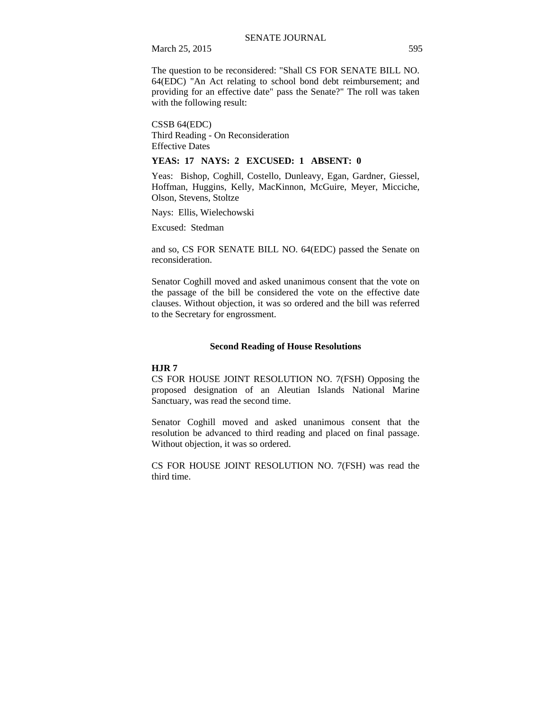The question to be reconsidered: "Shall CS FOR SENATE BILL NO. 64(EDC) "An Act relating to school bond debt reimbursement; and providing for an effective date" pass the Senate?" The roll was taken with the following result:

CSSB 64(EDC) Third Reading - On Reconsideration Effective Dates

#### **YEAS: 17 NAYS: 2 EXCUSED: 1 ABSENT: 0**

Yeas: Bishop, Coghill, Costello, Dunleavy, Egan, Gardner, Giessel, Hoffman, Huggins, Kelly, MacKinnon, McGuire, Meyer, Micciche, Olson, Stevens, Stoltze

Nays: Ellis, Wielechowski

Excused: Stedman

and so, CS FOR SENATE BILL NO. 64(EDC) passed the Senate on reconsideration.

Senator Coghill moved and asked unanimous consent that the vote on the passage of the bill be considered the vote on the effective date clauses. Without objection, it was so ordered and the bill was referred to the Secretary for engrossment.

#### **Second Reading of House Resolutions**

#### **HJR 7**

CS FOR HOUSE JOINT RESOLUTION NO. 7(FSH) Opposing the proposed designation of an Aleutian Islands National Marine Sanctuary, was read the second time.

Senator Coghill moved and asked unanimous consent that the resolution be advanced to third reading and placed on final passage. Without objection, it was so ordered.

CS FOR HOUSE JOINT RESOLUTION NO. 7(FSH) was read the third time.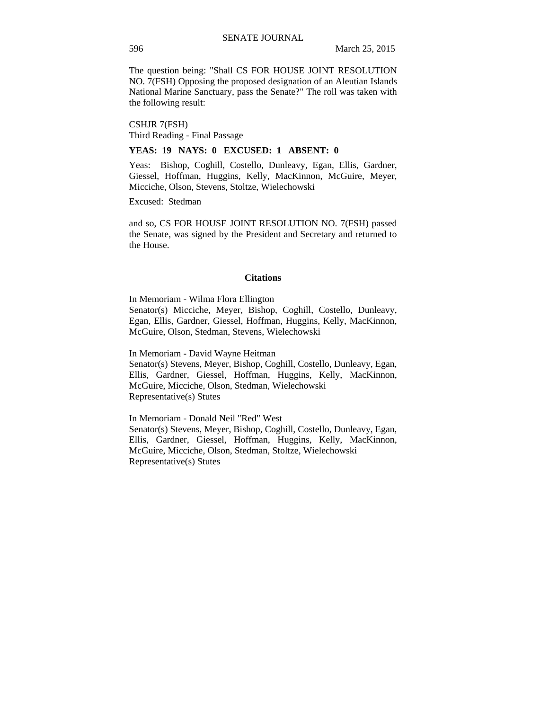The question being: "Shall CS FOR HOUSE JOINT RESOLUTION NO. 7(FSH) Opposing the proposed designation of an Aleutian Islands National Marine Sanctuary, pass the Senate?" The roll was taken with the following result:

CSHJR 7(FSH) Third Reading - Final Passage

### **YEAS: 19 NAYS: 0 EXCUSED: 1 ABSENT: 0**

Yeas: Bishop, Coghill, Costello, Dunleavy, Egan, Ellis, Gardner, Giessel, Hoffman, Huggins, Kelly, MacKinnon, McGuire, Meyer, Micciche, Olson, Stevens, Stoltze, Wielechowski

Excused: Stedman

and so, CS FOR HOUSE JOINT RESOLUTION NO. 7(FSH) passed the Senate, was signed by the President and Secretary and returned to the House.

#### **Citations**

In Memoriam - Wilma Flora Ellington Senator(s) Micciche, Meyer, Bishop, Coghill, Costello, Dunleavy, Egan, Ellis, Gardner, Giessel, Hoffman, Huggins, Kelly, MacKinnon, McGuire, Olson, Stedman, Stevens, Wielechowski

In Memoriam - David Wayne Heitman

Senator(s) Stevens, Meyer, Bishop, Coghill, Costello, Dunleavy, Egan, Ellis, Gardner, Giessel, Hoffman, Huggins, Kelly, MacKinnon, McGuire, Micciche, Olson, Stedman, Wielechowski Representative(s) Stutes

In Memoriam - Donald Neil "Red" West

Senator(s) Stevens, Meyer, Bishop, Coghill, Costello, Dunleavy, Egan, Ellis, Gardner, Giessel, Hoffman, Huggins, Kelly, MacKinnon, McGuire, Micciche, Olson, Stedman, Stoltze, Wielechowski Representative(s) Stutes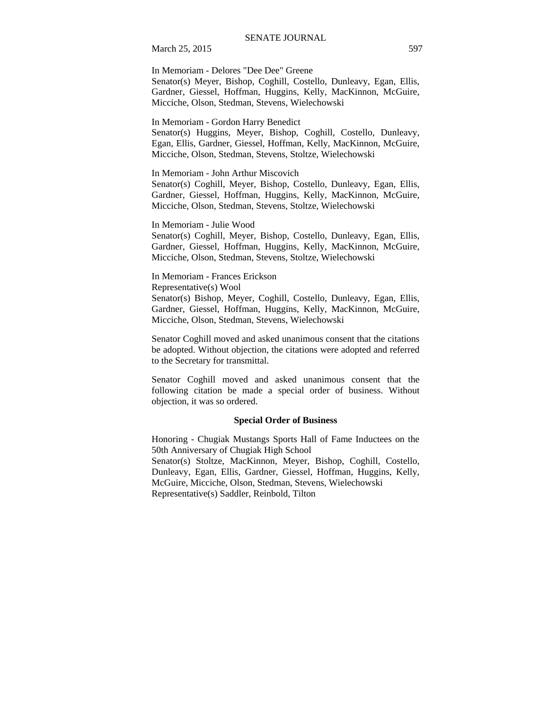In Memoriam - Delores "Dee Dee" Greene Senator(s) Meyer, Bishop, Coghill, Costello, Dunleavy, Egan, Ellis, Gardner, Giessel, Hoffman, Huggins, Kelly, MacKinnon, McGuire, Micciche, Olson, Stedman, Stevens, Wielechowski

In Memoriam - Gordon Harry Benedict

Senator(s) Huggins, Meyer, Bishop, Coghill, Costello, Dunleavy, Egan, Ellis, Gardner, Giessel, Hoffman, Kelly, MacKinnon, McGuire, Micciche, Olson, Stedman, Stevens, Stoltze, Wielechowski

In Memoriam - John Arthur Miscovich

Senator(s) Coghill, Meyer, Bishop, Costello, Dunleavy, Egan, Ellis, Gardner, Giessel, Hoffman, Huggins, Kelly, MacKinnon, McGuire, Micciche, Olson, Stedman, Stevens, Stoltze, Wielechowski

In Memoriam - Julie Wood

Senator(s) Coghill, Meyer, Bishop, Costello, Dunleavy, Egan, Ellis, Gardner, Giessel, Hoffman, Huggins, Kelly, MacKinnon, McGuire, Micciche, Olson, Stedman, Stevens, Stoltze, Wielechowski

In Memoriam - Frances Erickson Representative(s) Wool Senator(s) Bishop, Meyer, Coghill, Costello, Dunleavy, Egan, Ellis, Gardner, Giessel, Hoffman, Huggins, Kelly, MacKinnon, McGuire, Micciche, Olson, Stedman, Stevens, Wielechowski

Senator Coghill moved and asked unanimous consent that the citations be adopted. Without objection, the citations were adopted and referred to the Secretary for transmittal.

Senator Coghill moved and asked unanimous consent that the following citation be made a special order of business. Without objection, it was so ordered.

#### **Special Order of Business**

Honoring - Chugiak Mustangs Sports Hall of Fame Inductees on the 50th Anniversary of Chugiak High School Senator(s) Stoltze, MacKinnon, Meyer, Bishop, Coghill, Costello, Dunleavy, Egan, Ellis, Gardner, Giessel, Hoffman, Huggins, Kelly, McGuire, Micciche, Olson, Stedman, Stevens, Wielechowski Representative(s) Saddler, Reinbold, Tilton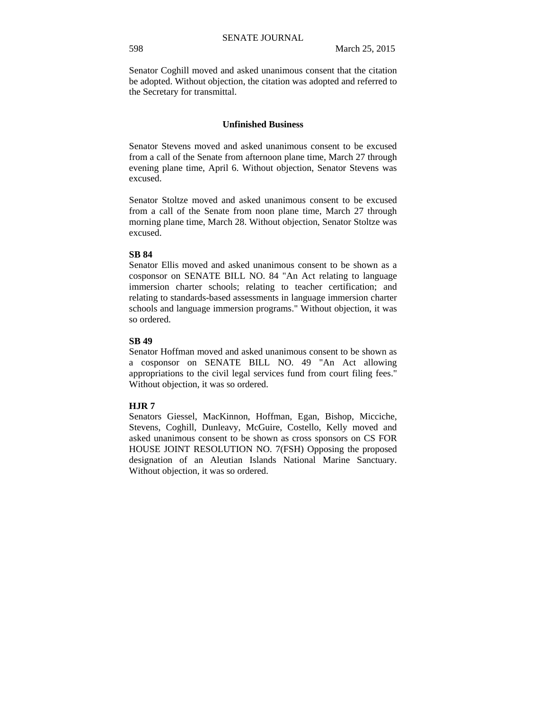Senator Coghill moved and asked unanimous consent that the citation be adopted. Without objection, the citation was adopted and referred to the Secretary for transmittal.

#### **Unfinished Business**

Senator Stevens moved and asked unanimous consent to be excused from a call of the Senate from afternoon plane time, March 27 through evening plane time, April 6. Without objection, Senator Stevens was excused.

Senator Stoltze moved and asked unanimous consent to be excused from a call of the Senate from noon plane time, March 27 through morning plane time, March 28. Without objection, Senator Stoltze was excused.

#### **SB 84**

Senator Ellis moved and asked unanimous consent to be shown as a cosponsor on SENATE BILL NO. 84 "An Act relating to language immersion charter schools; relating to teacher certification; and relating to standards-based assessments in language immersion charter schools and language immersion programs." Without objection, it was so ordered.

#### **SB 49**

Senator Hoffman moved and asked unanimous consent to be shown as a cosponsor on SENATE BILL NO. 49 "An Act allowing appropriations to the civil legal services fund from court filing fees." Without objection, it was so ordered.

#### **HJR 7**

Senators Giessel, MacKinnon, Hoffman, Egan, Bishop, Micciche, Stevens, Coghill, Dunleavy, McGuire, Costello, Kelly moved and asked unanimous consent to be shown as cross sponsors on CS FOR HOUSE JOINT RESOLUTION NO. 7(FSH) Opposing the proposed designation of an Aleutian Islands National Marine Sanctuary. Without objection, it was so ordered.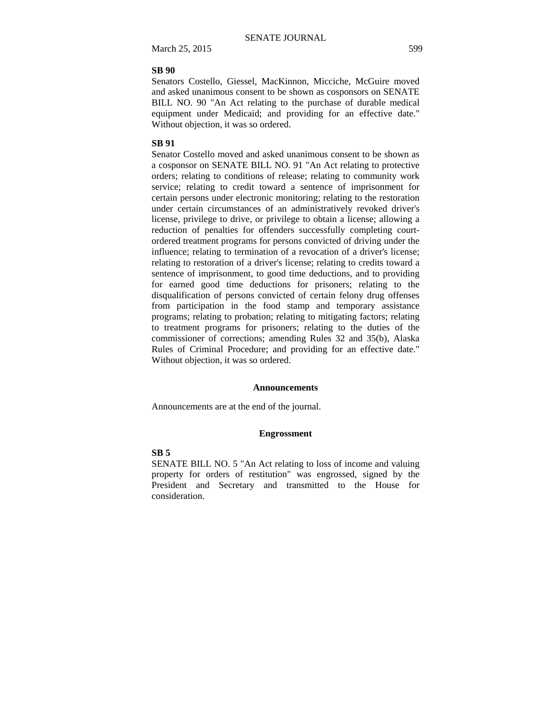### **SB 90**

Senators Costello, Giessel, MacKinnon, Micciche, McGuire moved and asked unanimous consent to be shown as cosponsors on SENATE BILL NO. 90 "An Act relating to the purchase of durable medical equipment under Medicaid; and providing for an effective date." Without objection, it was so ordered.

### **SB 91**

Senator Costello moved and asked unanimous consent to be shown as a cosponsor on SENATE BILL NO. 91 "An Act relating to protective orders; relating to conditions of release; relating to community work service; relating to credit toward a sentence of imprisonment for certain persons under electronic monitoring; relating to the restoration under certain circumstances of an administratively revoked driver's license, privilege to drive, or privilege to obtain a license; allowing a reduction of penalties for offenders successfully completing courtordered treatment programs for persons convicted of driving under the influence; relating to termination of a revocation of a driver's license; relating to restoration of a driver's license; relating to credits toward a sentence of imprisonment, to good time deductions, and to providing for earned good time deductions for prisoners; relating to the disqualification of persons convicted of certain felony drug offenses from participation in the food stamp and temporary assistance programs; relating to probation; relating to mitigating factors; relating to treatment programs for prisoners; relating to the duties of the commissioner of corrections; amending Rules 32 and 35(b), Alaska Rules of Criminal Procedure; and providing for an effective date." Without objection, it was so ordered.

#### **Announcements**

Announcements are at the end of the journal.

#### **Engrossment**

#### **SB 5**

SENATE BILL NO. 5 "An Act relating to loss of income and valuing property for orders of restitution" was engrossed, signed by the President and Secretary and transmitted to the House for consideration.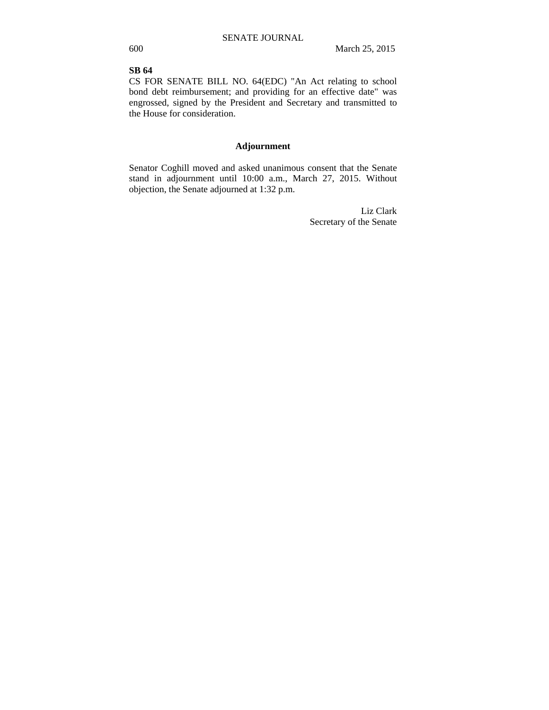## **SB 64**

CS FOR SENATE BILL NO. 64(EDC) "An Act relating to school bond debt reimbursement; and providing for an effective date" was engrossed, signed by the President and Secretary and transmitted to the House for consideration.

### **Adjournment**

Senator Coghill moved and asked unanimous consent that the Senate stand in adjournment until 10:00 a.m., March 27, 2015. Without objection, the Senate adjourned at 1:32 p.m.

> Liz Clark Secretary of the Senate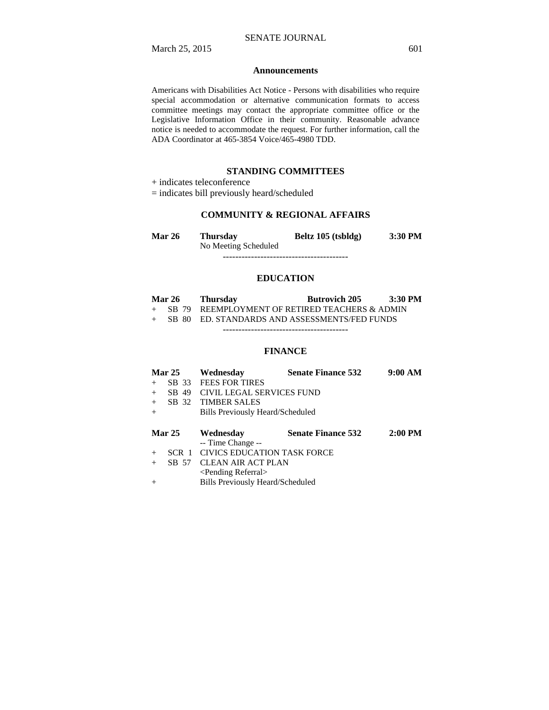#### **Announcements**

Americans with Disabilities Act Notice - Persons with disabilities who require special accommodation or alternative communication formats to access committee meetings may contact the appropriate committee office or the Legislative Information Office in their community. Reasonable advance notice is needed to accommodate the request. For further information, call the ADA Coordinator at 465-3854 Voice/465-4980 TDD.

### **STANDING COMMITTEES**

+ indicates teleconference

= indicates bill previously heard/scheduled

## **COMMUNITY & REGIONAL AFFAIRS**

| Mar 26 | Thursday             | Beltz 105 (tsbldg) | 3:30 PM |
|--------|----------------------|--------------------|---------|
|        | No Meeting Scheduled |                    |         |

----------------------------------------

### **EDUCATION**

| <b>Mar 26</b> | Thursday                                         | <b>Butrovich 205</b> | $3:30$ PM |
|---------------|--------------------------------------------------|----------------------|-----------|
|               | + SB 79 REEMPLOYMENT OF RETIRED TEACHERS & ADMIN |                      |           |
|               | + SB 80 ED. STANDARDS AND ASSESSMENTS/FED FUNDS  |                      |           |
|               |                                                  |                      |           |

### **FINANCE**

| <b>Mar 25</b> |       | Wednesday                          | <b>Senate Finance 532</b> | 9:00 AM   |
|---------------|-------|------------------------------------|---------------------------|-----------|
| $+$           | SB 33 | <b>FEES FOR TIRES</b>              |                           |           |
| $+$           | SB 49 | CIVIL LEGAL SERVICES FUND          |                           |           |
| $+$           | SB 32 | <b>TIMBER SALES</b>                |                           |           |
| $+$           |       | Bills Previously Heard/Scheduled   |                           |           |
|               |       |                                    |                           |           |
| <b>Mar 25</b> |       | Wednesday                          | <b>Senate Finance 532</b> | $2:00$ PM |
|               |       | -- Time Change --                  |                           |           |
| $+$           | SCR 1 | <b>CIVICS EDUCATION TASK FORCE</b> |                           |           |
| $+$           | SB 57 | <b>CLEAN AIR ACT PLAN</b>          |                           |           |
|               |       | <pending referral=""></pending>    |                           |           |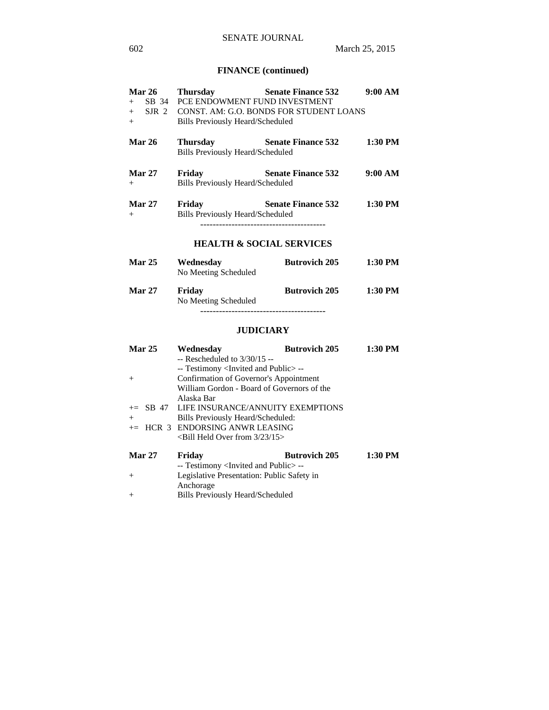# **FINANCE (continued)**

| <b>Mar 26</b>           | <b>Thursday</b>                                            | <b>Senate Finance 532</b>                     | 9:00 AM   |
|-------------------------|------------------------------------------------------------|-----------------------------------------------|-----------|
| $+$                     | SB 34 PCE ENDOWMENT FUND INVESTMENT                        |                                               |           |
| $+$                     |                                                            | SJR 2 CONST. AM: G.O. BONDS FOR STUDENT LOANS |           |
| $+$                     | <b>Bills Previously Heard/Scheduled</b>                    |                                               |           |
| <b>Mar 26</b>           | <b>Thursday</b><br><b>Bills Previously Heard/Scheduled</b> | <b>Senate Finance 532</b>                     | 1:30 PM   |
| <b>Mar 27</b><br>$^{+}$ | Friday<br><b>Bills Previously Heard/Scheduled</b>          | <b>Senate Finance 532</b>                     | 9:00 AM   |
| <b>Mar 27</b><br>$^{+}$ | Friday<br><b>Bills Previously Heard/Scheduled</b>          | <b>Senate Finance 532</b>                     | $1:30$ PM |
|                         |                                                            | <b>HEALTH &amp; SOCIAL SERVICES</b>           |           |
| <b>Mar 25</b>           | Wednesday<br>No Meeting Scheduled                          | <b>Butrovich 205</b>                          | 1:30 PM   |

| <b>Mar 27</b> | Friday               | <b>Butrovich 205</b> | $1:30$ PM |
|---------------|----------------------|----------------------|-----------|
|               | No Meeting Scheduled |                      |           |
|               |                      |                      |           |

## **JUDICIARY**

| Mar 25        | Wednesday                                           | <b>Butrovich 205</b> | 1:30 PM |
|---------------|-----------------------------------------------------|----------------------|---------|
|               | $-$ Rescheduled to $3/30/15 -$                      |                      |         |
|               | -- Testimony <invited and="" public="">--</invited> |                      |         |
| $+$           | Confirmation of Governor's Appointment              |                      |         |
|               | William Gordon - Board of Governors of the          |                      |         |
|               | Alaska Bar                                          |                      |         |
|               | $\pm$ SB 47 LIFE INSURANCE/ANNUITY EXEMPTIONS       |                      |         |
| $+$           | Bills Previously Heard/Scheduled:                   |                      |         |
|               | $+=$ HCR 3 ENDORSING ANWR LEASING                   |                      |         |
|               | $\le$ Bill Held Over from 3/23/15 $>$               |                      |         |
| <b>Mar 27</b> | Friday                                              | <b>Butrovich 205</b> | 1:30 PM |
|               | -- Testimony <invited and="" public="">--</invited> |                      |         |
| $+$           | Legislative Presentation: Public Safety in          |                      |         |
|               | Anchorage                                           |                      |         |
| $+$           | Bills Previously Heard/Scheduled                    |                      |         |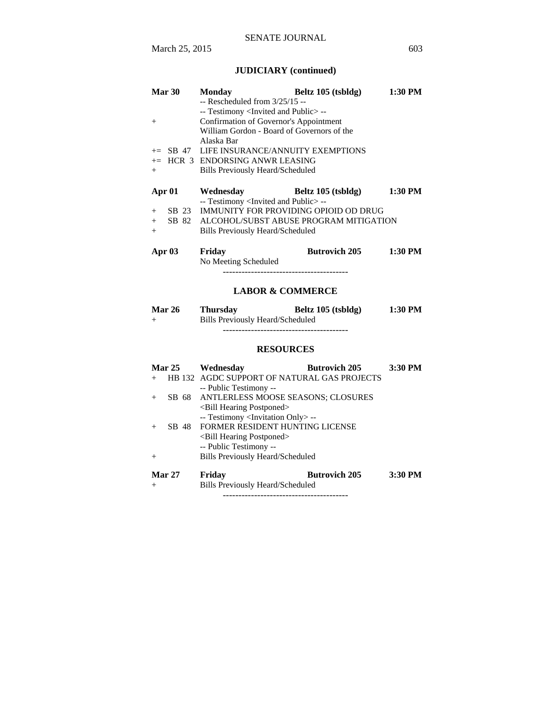# **JUDICIARY (continued)**

| Mar 30<br>$+$<br>$+=$ SB 47<br>$+$            | <b>Monday</b><br>$-$ Rescheduled from $3/25/15 -$<br>-- Testimony <invited and="" public="">--<br/>Confirmation of Governor's Appointment<br/>William Gordon - Board of Governors of the<br/>Alaska Bar<br/>LIFE INSURANCE/ANNUITY EXEMPTIONS<br/>+= HCR 3 ENDORSING ANWR LEASING<br/><b>Bills Previously Heard/Scheduled</b></invited> | Beltz 105 (tsbldg)   | 1:30 PM   |
|-----------------------------------------------|-----------------------------------------------------------------------------------------------------------------------------------------------------------------------------------------------------------------------------------------------------------------------------------------------------------------------------------------|----------------------|-----------|
| Apr 01<br>SB 23<br>$+$<br>SB 82<br>$+$<br>$+$ | Wednesday<br>-- Testimony <invited and="" public="">--<br/>IMMUNITY FOR PROVIDING OPIOID OD DRUG<br/>ALCOHOL/SUBST ABUSE PROGRAM MITIGATION<br/><b>Bills Previously Heard/Scheduled</b></invited>                                                                                                                                       | Beltz 105 (tsbldg)   | 1:30 PM   |
| Apr 03                                        | Friday<br>No Meeting Scheduled<br>----------------------------------<br><b>LABOR &amp; COMMERCE</b>                                                                                                                                                                                                                                     | <b>Butrovich 205</b> | $1:30$ PM |
| Mar 26<br>$+$                                 | <b>Thursday</b><br><b>Bills Previously Heard/Scheduled</b><br><b>RESOURCES</b>                                                                                                                                                                                                                                                          | Beltz 105 (tsbldg)   | 1:30 PM   |
| <b>Mar 25</b>                                 |                                                                                                                                                                                                                                                                                                                                         |                      | 3:30 PM   |
| $+$                                           | Wednesday<br>HB 132 AGDC SUPPORT OF NATURAL GAS PROJECTS                                                                                                                                                                                                                                                                                | <b>Butrovich 205</b> |           |
| SB 68<br>$^{+}$                               | -- Public Testimony --<br>ANTLERLESS MOOSE SEASONS; CLOSURES<br><bill hearing="" postponed=""><br/>-- Testimony <invitation only=""> --</invitation></bill>                                                                                                                                                                             |                      |           |
| SB 48<br>$^{+}$                               | FORMER RESIDENT HUNTING LICENSE<br><bill hearing="" postponed=""><br/>-- Public Testimony --</bill>                                                                                                                                                                                                                                     |                      |           |
| $^+$                                          | <b>Bills Previously Heard/Scheduled</b>                                                                                                                                                                                                                                                                                                 |                      |           |
| <b>Mar 27</b><br>$\overline{+}$               | Friday<br><b>Bills Previously Heard/Scheduled</b>                                                                                                                                                                                                                                                                                       | <b>Butrovich 205</b> | 3:30 PM   |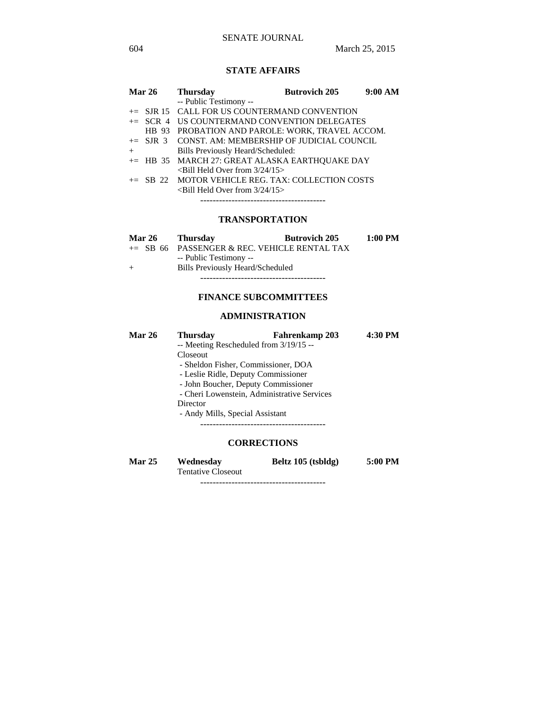## SENATE JOURNAL

## **STATE AFFAIRS**

|     | <b>Mar 26</b> | <b>Thursday</b>                                    | <b>Butrovich 205</b> | 9:00 AM |
|-----|---------------|----------------------------------------------------|----------------------|---------|
|     |               | -- Public Testimony --                             |                      |         |
|     |               | $+=$ SJR 15 CALL FOR US COUNTERMAND CONVENTION     |                      |         |
|     |               | += SCR 4 US COUNTERMAND CONVENTION DELEGATES       |                      |         |
|     |               | HB 93 PROBATION AND PAROLE: WORK, TRAVEL ACCOM.    |                      |         |
|     |               | += SJR 3 CONST. AM: MEMBERSHIP OF JUDICIAL COUNCIL |                      |         |
| $+$ |               | Bills Previously Heard/Scheduled:                  |                      |         |
|     |               | += HB 35 MARCH 27: GREAT ALASKA EARTHOUAKE DAY     |                      |         |
|     |               | $\le$ Bill Held Over from $3/24/15$ >              |                      |         |
|     |               | += SB 22 MOTOR VEHICLE REG. TAX: COLLECTION COSTS  |                      |         |
|     |               | $\le$ Bill Held Over from 3/24/15 $>$              |                      |         |
|     |               |                                                    |                      |         |

## **TRANSPORTATION**

| <b>Mar 26</b> | Thursday                         | <b>Butrovich 205</b>                            | 1:00 PM |
|---------------|----------------------------------|-------------------------------------------------|---------|
|               |                                  | $\pm$ SB 66 PASSENGER & REC. VEHICLE RENTAL TAX |         |
|               | -- Public Testimony --           |                                                 |         |
| $+$           | Bills Previously Heard/Scheduled |                                                 |         |
|               |                                  |                                                 |         |

## **FINANCE SUBCOMMITTEES**

## **ADMINISTRATION**

| <b>Mar 26</b> | <b>Thursday</b>                             | Fahrenkamp 203     | 4:30 PM |  |  |
|---------------|---------------------------------------------|--------------------|---------|--|--|
|               | -- Meeting Rescheduled from 3/19/15 --      |                    |         |  |  |
|               | Closeout                                    |                    |         |  |  |
|               | - Sheldon Fisher, Commissioner, DOA         |                    |         |  |  |
|               | - Leslie Ridle, Deputy Commissioner         |                    |         |  |  |
|               | - John Boucher, Deputy Commissioner         |                    |         |  |  |
|               | - Cheri Lowenstein, Administrative Services |                    |         |  |  |
|               | Director                                    |                    |         |  |  |
|               | - Andy Mills, Special Assistant             |                    |         |  |  |
|               |                                             |                    |         |  |  |
|               |                                             |                    |         |  |  |
|               |                                             | <b>CORRECTIONS</b> |         |  |  |

| <b>Mar 25</b> | Wednesday          | Beltz 105 (tsbldg) | 5:00 PM |
|---------------|--------------------|--------------------|---------|
|               | Tantativa Clossout |                    |         |

Tentative Closeout

----------------------------------------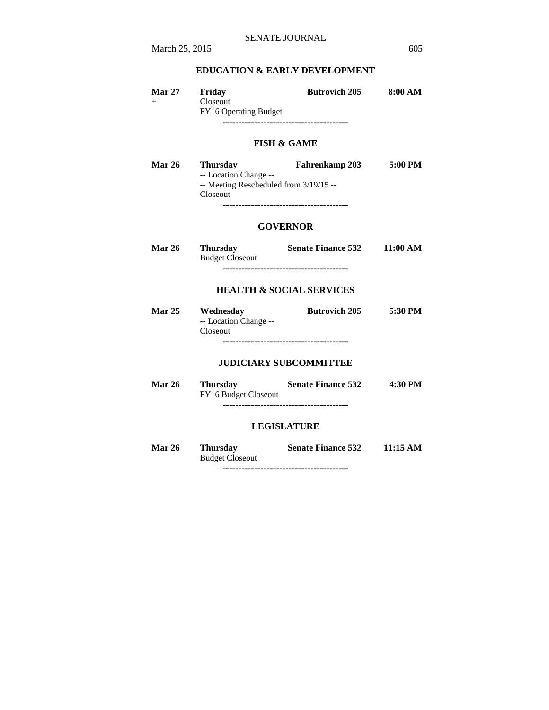## **EDUCATION & EARLY DEVELOPMENT**

| <b>Mar 27</b> | Friday                            | <b>Butrovich 205</b> | 8:00 AM |
|---------------|-----------------------------------|----------------------|---------|
| $^{+}$        | Closeout<br>FY16 Operating Budget |                      |         |
|               |                                   |                      |         |

### **FISH & GAME**

| <b>Mar 26</b> | <b>Thursday</b>                          | <b>Fahrenkamp 203</b> | 5:00 PM |
|---------------|------------------------------------------|-----------------------|---------|
|               | -- Location Change --                    |                       |         |
|               | $-$ Meeting Rescheduled from $3/19/15 -$ |                       |         |
|               | Closeout                                 |                       |         |
|               |                                          |                       |         |

### **GOVERNOR**

| <b>Mar 26</b> | <b>Thursday</b>        | <b>Senate Finance 532</b> | 11:00 AM |
|---------------|------------------------|---------------------------|----------|
|               | <b>Budget Closeout</b> |                           |          |
|               |                        |                           |          |

### **HEALTH & SOCIAL SERVICES**

| <b>Mar 25</b> | Wednesday             | <b>Butrovich 205</b> | 5:30 PM |
|---------------|-----------------------|----------------------|---------|
|               | -- Location Change -- |                      |         |
|               | <b>Closeout</b>       |                      |         |
|               |                       |                      |         |

## **JUDICIARY SUBCOMMITTEE**

| <b>Mar 26</b> | Thursday<br>FY16 Budget Closeout | <b>Senate Finance 532</b> | $4:30$ PM |
|---------------|----------------------------------|---------------------------|-----------|
|               |                                  |                           |           |

### **LEGISLATURE**

| <b>Mar 26</b> | <b>Thursday</b>        | <b>Senate Finance 532</b> | 11:15 AM |
|---------------|------------------------|---------------------------|----------|
|               | <b>Budget Closeout</b> |                           |          |
|               |                        |                           |          |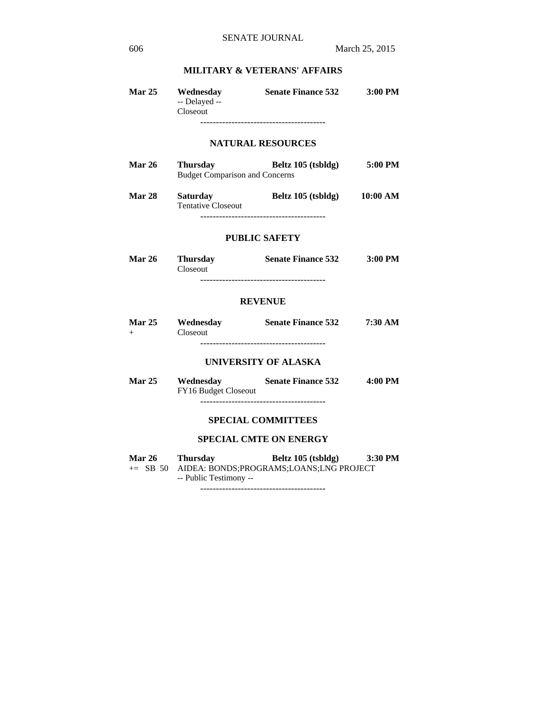## **MILITARY & VETERANS' AFFAIRS**

| Mar 25        | Wednesday<br>-- Delayed --<br>Closeout                   | <b>Senate Finance 532</b>                                                      | 3:00 PM |
|---------------|----------------------------------------------------------|--------------------------------------------------------------------------------|---------|
|               |                                                          | <b>NATURAL RESOURCES</b>                                                       |         |
| <b>Mar 26</b> | <b>Thursday</b><br><b>Budget Comparison and Concerns</b> | Beltz 105 (tsbldg) 5:00 PM                                                     |         |
| <b>Mar 28</b> | <b>Saturday</b><br><b>Tentative Closeout</b>             | Beltz 105 (tsbldg) 10:00 AM                                                    |         |
|               |                                                          | <b>PUBLIC SAFETY</b>                                                           |         |
| <b>Mar 26</b> | <b>Thursday</b><br>Closeout                              | Senate Finance 532 3:00 PM                                                     |         |
|               |                                                          | <b>REVENUE</b>                                                                 |         |
| $+$           | Closeout                                                 | Mar 25 Wednesday Senate Finance 532 7:30 AM                                    |         |
|               |                                                          | <b>UNIVERSITY OF ALASKA</b>                                                    |         |
| <b>Mar 25</b> | FY16 Budget Closeout                                     | Wednesday Senate Finance 532                                                   | 4:00 PM |
|               |                                                          | <b>SPECIAL COMMITTEES</b>                                                      |         |
|               |                                                          | <b>SPECIAL CMTE ON ENERGY</b>                                                  |         |
|               | Mar 26 Thursday<br>-- Public Testimony --                | Beltz 105 (tsbldg) 3:30 PM<br>+= SB 50 AIDEA: BONDS;PROGRAMS;LOANS;LNG PROJECT |         |

----------------------------------------